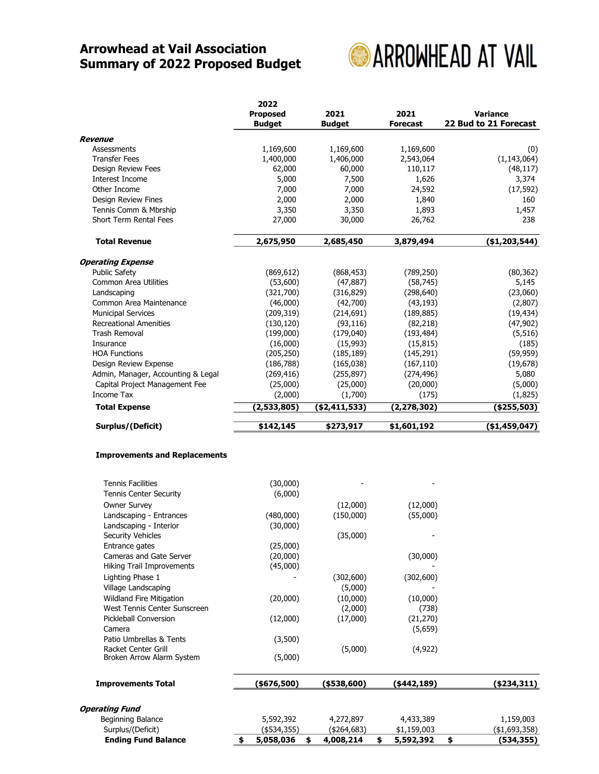## Arrowhead at Vail Association Summary of 2022 Proposed Budget



|                                    | 2022<br><b>Proposed</b><br><b>Budget</b> | 2021<br><b>Budget</b> | 2021<br><b>Forecast</b> | Variance<br>22 Bud to 21 Forecast |
|------------------------------------|------------------------------------------|-----------------------|-------------------------|-----------------------------------|
| <b>Revenue</b>                     |                                          |                       |                         |                                   |
| Assessments                        | 1,169,600                                | 1,169,600             | 1,169,600               | (0)                               |
| <b>Transfer Fees</b>               | 1,400,000                                | 1,406,000             | 2,543,064               | (1, 143, 064)                     |
| Design Review Fees                 | 62,000                                   | 60,000                | 110,117                 | (48, 117)                         |
| Interest Income                    | 5,000                                    | 7,500                 | 1,626                   | 3,374                             |
| Other Income                       | 7,000                                    | 7,000                 | 24,592                  | (17, 592)                         |
| Design Review Fines                | 2,000                                    | 2,000                 | 1,840                   | 160                               |
| Tennis Comm & Mbrship              | 3,350                                    | 3,350                 | 1,893                   | 1,457                             |
| Short Term Rental Fees             | 27,000                                   | 30,000                | 26,762                  | 238                               |
| <b>Total Revenue</b>               | 2,675,950                                | 2,685,450             | 3,879,494               | ( \$1,203,544)                    |
| <b>Operating Expense</b>           |                                          |                       |                         |                                   |
| <b>Public Safety</b>               | (869, 612)                               | (868, 453)            | (789, 250)              | (80, 362)                         |
| Common Area Utilities              | (53,600)                                 | (47, 887)             | (58, 745)               | 5,145                             |
| Landscaping                        | (321,700)                                | (316, 829)            | (298, 640)              | (23,060)                          |
| Common Area Maintenance            | (46,000)                                 | (42,700)              | (43, 193)               | (2,807)                           |
| <b>Municipal Services</b>          | (209, 319)                               | (214, 691)            | (189, 885)              | (19, 434)                         |
| <b>Recreational Amenities</b>      | (130, 120)                               | (93, 116)             | (82, 218)               | (47, 902)                         |
| <b>Trash Removal</b>               | (199,000)                                | (179,040)             | (193, 484)              | (5, 516)                          |
| Insurance                          | (16,000)                                 | (15,993)              | (15, 815)               | (185)                             |
| <b>HOA Functions</b>               | (205, 250)                               | (185, 189)            | (145, 291)              | (59, 959)                         |
| Design Review Expense              | (186, 788)                               | (165,038)             | (167, 110)              | (19, 678)                         |
| Admin, Manager, Accounting & Legal | (269, 416)                               | (255, 897)            | (274, 496)              | 5,080                             |
| Capital Project Management Fee     | (25,000)                                 | (25,000)              | (20,000)                | (5,000)                           |
| Income Tax                         | (2,000)                                  | (1,700)               | (175)                   | (1,825)                           |
| <b>Total Expense</b>               | (2,533,805)                              | ( \$2,411,533)        | (2, 278, 302)           | (\$255,503)                       |
| Surplus/(Deficit)                  | \$142,145                                | \$273,917             | \$1,601,192             | (\$1,459,047)                     |

## Improvements and Replacements

| <b>Ending Fund Balance</b>                            | 5,058,036<br>\$<br>\$ | 4,008,214           | \$<br>5,592,392      | \$<br>(534, 355) |
|-------------------------------------------------------|-----------------------|---------------------|----------------------|------------------|
| Surplus/(Deficit)                                     | (\$534,355)           | (\$264,683)         | \$1,159,003          | ( \$1,693,358)   |
| Beginning Balance                                     | 5,592,392             | 4,272,897           | 4,433,389            | 1,159,003        |
| <b>Operating Fund</b>                                 |                       |                     |                      |                  |
| <b>Improvements Total</b>                             | (\$676,500)           | ( \$538, 600)       | $(*442, 189)$        | ( \$234, 311)    |
| Broken Arrow Alarm System                             | (5,000)               |                     |                      |                  |
| Racket Center Grill                                   |                       | (5,000)             | (4, 922)             |                  |
| Patio Umbrellas & Tents                               | (3,500)               |                     |                      |                  |
| Camera                                                | (12,000)              |                     | (21, 270)<br>(5,659) |                  |
| West Tennis Center Sunscreen<br>Pickleball Conversion |                       | (2,000)<br>(17,000) | (738)                |                  |
| Wildland Fire Mitigation                              | (20,000)              | (10,000)            | (10,000)             |                  |
| Village Landscaping                                   |                       | (5,000)             |                      |                  |
| Lighting Phase 1                                      |                       | (302,600)           | (302,600)            |                  |
| Hiking Trail Improvements                             | (45,000)              |                     |                      |                  |
| Cameras and Gate Server                               | (20,000)              |                     | (30,000)             |                  |
| Entrance gates                                        | (25,000)              |                     |                      |                  |
| Landscaping - Interior<br><b>Security Vehicles</b>    | (30,000)              | (35,000)            |                      |                  |
| Landscaping - Entrances                               | (480,000)             | (150,000)           | (55,000)             |                  |
| <b>Owner Survey</b>                                   |                       | (12,000)            | (12,000)             |                  |
| Tennis Center Security                                | (6,000)               |                     |                      |                  |
| <b>Tennis Facilities</b>                              | (30,000)              |                     |                      |                  |